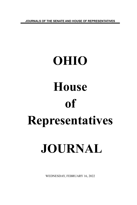**JOURNALS OF THE SENATE AND HOUSE OF REPRESENTATIVES**

# **OHIO House of Representatives JOURNAL**

WEDNESDAY, FEBRUARY 16, 2022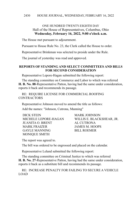#### HOUSE JOURNAL, WEDNESDAY, FEBRUARY 16, 2022 2430

# ONE HUNDRED TWENTY-EIGHTH DAY Hall of the House of Representatives, Columbus, Ohio **Wednesday, February 16, 2022, 9:00 o'clock a.m.**

The House met pursuant to adjournment.

Pursuant to House Rule No. 23, the Clerk called the House to order.

Representative Brinkman was selected to preside under the Rule.

The journal of yesterday was read and approved.

## **REPORTS OF STANDING AND SELECT COMMITTEES AND BILLS FOR SECOND CONSIDERATION**

Representative Lepore-Hagan submitted the following report:

The standing committee on Commerce and Labor to which was referred **H. B. No. 88**-Representative Patton, having had the same under consideration, reports it back and recommends its passage.

RE: REQUIRE LICENSE FOR COMMERCIAL ROOFING CONTRACTORS

Representative Johnson moved to amend the title as follows:

Add the names: "Johnson, Cutrona, Manning"

DICK STEIN MARK JOHNSON JUANITA O. BRENT AL CUTRONA MARK FRAIZER JAMES M. HOOPS GAYLE MANNING BILL ROEMER MONIQUE SMITH

MICHELE LEPORE-HAGAN WILLIS E. BLACKSHEAR, JR.

The report was agreed to.

The bill was ordered to be engrossed and placed on the calendar.

Representative Leland submitted the following report:

The standing committee on Criminal Justice to which was referred **H. B. No. 27**-Representative Patton, having had the same under consideration, reports it back as a substitute bill and recommends its passage.

RE: INCREASE PENALTY FOR FAILING TO SECURE A VEHICLE LOAD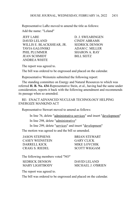Representative LaRe moved to amend the title as follows: Add the name: "Leland"

JEFF LARE D. J. SWEARINGEN DAVID LELAND CINDY ABRAMS WILLIS E. BLACKSHEAR, JR. SEDRICK DENSON TAVIA GALONSKI ADAM C. MILLER PHIL PLUMMER SHARON A. RAY JEAN SCHMIDT BILL SEITZ ANDREA WHITE

The report was agreed to.

The bill was ordered to be engrossed and placed on the calendar.

Representative Weinstein submitted the following report:

The standing committee on Energy and Natural Resources to which was referred **H. B. No. 434**-Representative Stein, et al., having had the same under consideration, reports it back with the following amendment and recommends its passage when so amended.

RE: ENACT ADVANCED NUCLEAR TECHNOLOGY HELPING ENERGIZE MANKIND ACT

Representative Stewart moved to amend as follows:

In line 76, delete "administrative services" and insert "development" In line 298, delete "administrative"

In line 299, delete "services" and insert "development"

The motion was agreed to and the bill so amended.

JASON STEPHENS BRIAN STEWART CASEY WEINSTEIN GARY CLICK DARRELL KICK MIKE LOYCHIK CRAIG S. RIEDEL SCOTT WIGGAM

The following members voted "NO"

SEDRICK DENSON DAVID LELAND

MARY LIGHTBODY MICHAEL J. O'BRIEN

The report was agreed to.

The bill was ordered to be engrossed and placed on the calendar.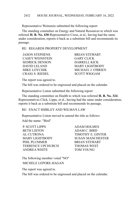Representative Weinstein submitted the following report:

The standing committee on Energy and Natural Resources to which was referred **H. B. No. 430**-Representative Cross, et al., having had the same under consideration, reports it back as a substitute bill and recommends its passage.

RE: REGARDS PROPERTY DEVELOPMENT

JASON STEPHENS BRIAN STEWART CASEY WEINSTEIN GARY CLICK SEDRICK DENSON DARRELL KICK DAVID LELAND MARY LIGHTBODY CRAIG S. RIEDEL SCOTT WIGGAM

MIKE LOYCHIK MICHAEL J. O'BRIEN

The report was agreed to.

The bill was ordered to be engrossed and placed on the calendar.

Representative Liston submitted the following report:

The standing committee on Health to which was referred **H. B. No. 324**- Representatives Click, Lipps, et al., having had the same under consideration, reports it back as a substitute bill and recommends its passage.

# RE: ENACT SHIRLEY AND WILMA'S LAW

Representative Liston moved to amend the title as follows:

Add the name: "Bird"

| <b>P SCOTT LIPPS</b>  |
|-----------------------|
| <b>BETH LISTON</b>    |
| AL CUTRONA            |
| <b>MARY LIGHTBODY</b> |
| PHIL PLUMMER          |
| TERRENCE UPCHURCH     |
| <b>ANDREA WHITE</b>   |
|                       |

**ADAM HOLMES** ADAM C. BIRD TIMOTHY E. GINTER SUSAN MANCHESTER **BRIAN STEWART** THOMAS WEST TOM YOUNG

The following member voted "NO" MICHELE LEPORE-HAGAN

The report was agreed to.

The bill was ordered to be engrossed and placed on the calendar.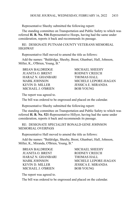Representative Sheehy submitted the following report:

The standing committee on Transportation and Public Safety to which was referred **H. B. No. 516**-Representative Hoops, having had the same under consideration, reports it back and recommends its passage.

RE: DESIGNATE PUTNAM COUNTY VETERANS MEMORIAL **HIGHWAY** 

Representative Hall moved to amend the title as follows:

Add the names: "Baldridge, Sheehy, Brent, Ghanbari, Hall, Johnson, Miller, K., O'Brien, Young, B."

BRIAN BALDRIDGE MICHAEL SHEEHY JUANITA O. BRENT RODNEY CREECH HARAZ N. GHANBARI THOMAS HALL KEVIN D. MILLER JESSICA E. MIRANDA MICHAEL J. O'BRIEN BOB YOUNG

MARK JOHNSON MICHELE LEPORE-HAGAN

The report was agreed to.

The bill was ordered to be engrossed and placed on the calendar.

Representative Sheehy submitted the following report:

The standing committee on Transportation and Public Safety to which was referred **H. B. No. 521**-Representative Hillyer, having had the same under consideration, reports it back and recommends its passage.

RE: DESIGNATE SPECIALIST RONALD GENE JOHNSON MEMORIAL OVERPASS

Representative Hall moved to amend the title as follows:

Add the names: "Baldridge, Sheehy, Brent, Ghanbari, Hall, Johnson, Miller, K., Miranda, O'Brien, Young, B."

BRIAN BALDRIDGE MICHAEL SHEEHY JUANITA O. BRENT RODNEY CREECH HARAZ N. GHANBARI THOMAS HALL KEVIN D. MILLER JESSICA E. MIRANDA MICHAEL J. O'BRIEN BOB YOUNG

MARK JOHNSON MICHELE LEPORE-HAGAN

The report was agreed to.

The bill was ordered to be engrossed and placed on the calendar.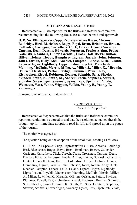# **MOTIONS AND RESOLUTIONS**

Representative Russo reported for the Rules and Reference committee recommending that the following House Resolution be read and approved:

**H. R. No. 186** - **Speaker Cupp, Representatives Russo, Abrams, Baldridge, Bird, Blackshear, Boggs, Boyd, Brent, Brinkman, Brown, Callender, Carfagna, Carruthers, Click, Creech, Cross, Crossman, Cutrona, Dean, Denson, Edwards, Ferguson, Fowler Arthur, Fraizer, Galonski, Ghanbari, Ginter, Grendell, Gross, Hall, Hicks-Hudson, Hillyer, Holmes, Hoops, Humphrey, Ingram, Jarrells, John, Johnson, Jones, Jordan, Kelly, Kick, Koehler, Lampton, Lanese, LaRe, Leland, Lepore-Hagan, Lightbody, Lipps, Liston, Loychik, Manchester, Manning, McClain, Merrin, Miller, A., Miller, J., Miller, K., Miranda, O'Brien, Oelslager, Patton, Pavliga, Plummer, Powell, Ray, Richardson, Riedel, Robinson, Roemer, Schmidt, Seitz, Sheehy, Skindell, Smith, K., Smith, M., Sobecki, Stein, Stephens, Stewart, Stoltzfus, Swearingen, Sweeney, Sykes, Troy, Upchurch, Vitale, Weinstein, West, White, Wiggam, Wilkin, Young, B., Young, T., Zeltwanger**

In memory of William G. Batchelder III.

/s/ROBERT R. CUPP Robert R. Cupp, Chair

Representative Stephens moved that the Rules and Reference committee report on resolutions be agreed to and that the resolution contained therein be brought up for immediate adoption, read in full, and spread upon the pages of the journal.

The motion was agreed to.

The question being on the adoption of the resolution, reading as follows:

**H. R. No. 186**-Speaker Cupp, Representatives Russo, Abrams, Baldridge, Bird, Blackshear, Boggs, Boyd, Brent, Brinkman, Brown, Callender, Carfagna, Carruthers, Click, Creech, Cross, Crossman, Cutrona, Dean, Denson, Edwards, Ferguson, Fowler Arthur, Fraizer, Galonski, Ghanbari, Ginter, Grendell, Gross, Hall, Hicks-Hudson, Hillyer, Holmes, Hoops, Humphrey, Ingram, Jarrells, John, Johnson, Jones, Jordan, Kelly, Kick, Koehler, Lampton, Lanese, LaRe, Leland, Lepore-Hagan, Lightbody, Lipps, Liston, Loychik, Manchester, Manning, McClain, Merrin, Miller, A., Miller, J., Miller, K., Miranda, O'Brien, Oelslager, Patton, Pavliga, Plummer, Powell, Ray, Richardson, Riedel, Robinson, Roemer, Schmidt, Seitz, Sheehy, Skindell, Smith, K., Smith, M., Sobecki, Stein, Stephens, Stewart, Stoltzfus, Swearingen, Sweeney, Sykes, Troy, Upchurch, Vitale,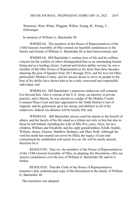Weinstein, West, White, Wiggam, Wilkin, Young, B., Young, T., Zeltwanger.

In memory of William G. Batchelder III.

WHEREAS, The members of the House of Representatives of the 134th General Assembly of Ohio extend our heartfelt condolences to the family and friends of William G. Batchelder III in their bereavement; and

WHEREAS, Bill Batchelder's zealous love of life and his selfless concern for the welfare of others distinguished him as an outstanding human being and as a leading citizen. A proud and tireless public servant, he was a member of the Ohio House of Representatives for more than three decades, attaining the post of Speaker from 2011 through 2014, and his love for Ohio, particularly Medina County, and his sincere desire to serve its people to the best of his ability have shown him to be a truly concerned and responsible individual; and

WHEREAS, Bill Batchelder's numerous endeavors will certainly live beyond him. Also a veteran of the U.S. Army, an attorney in private practice, and a Mason, he was elected as a judge of the Medina County Common Pleas Court and later appointed to the Ninth District Court of Appeals, and he generously gave his energy and abilities in all of his endeavors. Indeed, his absence will be keenly felt; and

WHEREAS, Bill Batchelder always used his talents to the benefit of others, and the laurels of his life stand as a tribute not only to him but also to those he left behind, including his wife of fifty-five years, Alice, his two children, William and Elisabeth, and his eight grandchildren, Eilidh, Sophie, William, James, Eleanor, Matthew, Bethany, and Mary Ruth. Although the void his death has created can never be filled, the legacy of care and commitment he established will surely live on. He will be sorely missed; therefore be it

RESOLVED, That we, the members of the House of Representatives of the 134th General Assembly of Ohio, in adopting this Resolution, offer our sincere condolences over the loss of William G. Batchelder III; and be it further

RESOLVED, That the Clerk of the House of Representatives transmit a duly authenticated copy of this Resolution to the family of William G. Batchelder III.

The resolution was adopted.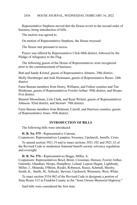#### HOUSE JOURNAL, WEDNESDAY, FEBRUARY 16, 2022 2436

Representative Stephens moved that the House revert to the second order of business, being introduction of bills.

The motion was agreed to.

On motion of Representative Stephens, the House recessed.

The House met pursuant to recess.

Prayer was offered by Representative Click-88th district, followed by the Pledge of Allegiance to the Flag.

The following guests of the House of Representatives were recognized prior to the commencement of business:

Bob and Sandy Kristof, guests of Representative Abrams- 29th district.

Molly Hornberger and Josh Hickmann, guests of Representative Russo- 24th district.

Farm Bureau members from Henry, Williams, and Fulton counties and Tim Brinkman, guests of Representatives Fowler-Arthur- 99th district, and Hoops-81st district.

Bennett Musselman, Cole Clark, and Ryan Writsel, guests of Representatives Johnson- 92nd district, and Stewart- 78th district.

Farm Bureau members from Belmont, Carroll, and Harrison counties, guests of Representative Jones- 95th district.

### **INTRODUCTION OF BILLS**

The following bills were introduced:

**H. B. No. 575 -** Representative Cutrona.

Cosponsors: Representatives Lampton, Sweeney, Upchurch, Jarrells, Cross.

To amend section 3921.19 and to enact sections 3921.102 and 3921.32 of the Revised Code to modernize fraternal benefit society solvency regulation and oversight.

**H. B. No. 576 -** Representatives Boggs, Miller, A.

Cosponsors: Representatives Boyd, Brent, Crossman, Denson, Fowler Arthur, Galonski, Ghanbari, Hoops, Humphrey, Leland, Lepore-Hagan, Lightbody, Miller, J., Miranda, O'Brien, Riedel, Robinson, Russo, Schmidt, Sheehy, Smith, K., Smith, M., Sobecki, Stewart, Upchurch, Weinstein, West, White.

To enact section 5534.962 of the Revised Code to designate a portion of State Route 315 in Franklin County as the "Jesse Owens Memorial Highway."

Said bills were considered the first time.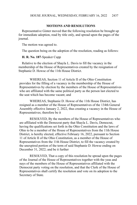# **MOTIONS AND RESOLUTIONS**

Representative Ginter moved that the following resolution be brought up for immediate adoption, read by title only, and spread upon the pages of the journal.

The motion was agreed to.

The question being on the adoption of the resolution, reading as follows:

### **H. R. No. 187**-Speaker Cupp

Relative to the election of Shayla L. Davis to fill the vacancy in the membership of the House of Representatives created by the resignation of Stephanie D. Howse of the 11th House District.

WHEREAS, Section 11 of Article II of the Ohio Constitution provides for the filling of a vacancy in the membership of the House of Representatives by election by the members of the House of Representatives who are affiliated with the same political party as the person last elected to the seat which has become vacant; and

WHEREAS, Stephanie D. Howse of the 11th House District, has resigned as a member of the House of Representatives of the 134th General Assembly effective January 2, 2022, thus creating a vacancy in the House of Representatives; therefore be it

RESOLVED, By the members of the House of Representatives who are affiliated with the Democrat party that Shayla L. Davis, Democrat, having the qualifications set forth in the Ohio Constitution and the laws of Ohio to be a member of the House of Representatives from the 11th House District, is hereby elected, effective February 16, 2022, pursuant to Section 11 of Article II of the Ohio Constitution, as a member of the House of Representatives from the 11th House District, to fill the vacancy created by the unexpired portion of the term of said Stephanie D. Howse ending on December 31, 2022; and be it further

RESOLVED, That a copy of this resolution be spread upon the pages of the Journal of the House of Representatives together with the yeas and nays of the members of the House of Representatives affiliated with the Democrat party voting on the resolution, and that the Clerk of the House of Representatives shall certify the resolution and vote on its adoption to the Secretary of State.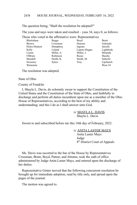The question being, "Shall the resolution be adopted?"

The yeas and nays were taken and resulted – yeas 34, nays 0, as follows:

Those who voted in the affirmative were: Representatives

| Blackshear   | Boggs      | Boyd         | <b>Brent</b> |
|--------------|------------|--------------|--------------|
| <b>Brown</b> | Crossman   | Denson       | Galonski     |
| Hicks-Hudson | Humphrey   | Ingram       | Jarrells     |
| Kelly        | Leland     | Lepore-Hagan | Lightbody    |
| Liston       | Miller, A. | Miller, J.   | Miranda      |
| O'Brien      | Robinson   | Russo        | Sheehy       |
| Skindell     | Smith, K.  | Smith, M.    | Sobecki      |
| Sweeney      | Sykes      | <b>Troy</b>  | Upchurch     |
| Weinstein    |            |              | West-34      |

The resolution was adopted.

#### State of Ohio

#### County of Franklin

I, Shayla L. Davis, do solemnly swear to support the Constitution of the United States and the Constitution of the State of Ohio, and faithfully to discharge and perform all duties incumbent upon me as a member of the Ohio House of Representatives, according to the best of my ability and understanding; and this I do as I shall answer unto God.

> /s/ SHAYLA L. DAVIS Shayla L. Davis

Sworn to and subscribed before me this 16th day of February, 2022.

/s/ ANITA LASTER MAYS Anita Laster Mays Judge 8<sup>th</sup> District Court of Appeals

Ms. Davis was escorted to the bar of the House by Representatives Crossman, Brent, Boyd, Patton, and Abrams, took the oath of office administered by Judge Anita Laster Mays, and entered upon the discharge of her duties.

Representative Ginter moved that the following concurrent resolution be brought up for immediate adoption, read by title only, and spread upon the pages of the journal.

The motion was agreed to.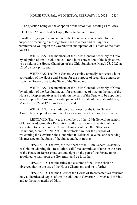The question being on the adoption of the resolution, reading as follows:

**H. C. R. No. 43**-Speaker Cupp, Representative Russo

Authorizing a joint convention of the Ohio General Assembly for the purpose of receiving a message from the Governor and calling for a committee to wait upon the Governor in anticipation of his State of the State Address.

WHEREAS, The members of the 134th General Assembly of Ohio, by adoption of this Resolution, call for a joint convention of the legislature, to be held in the House Chambers of the Ohio Statehouse, March 23, 2022 at 12:00 o'clock p.m.; and

WHEREAS, The Ohio General Assembly annually convenes a joint convention of the House and Senate for the purpose of receiving a message from the Governor as to the State of the State; and

WHEREAS, The members of the 134th General Assembly of Ohio, by adoption of the Resolution, call for a committee of nine on the part of the House of Representatives and eight on the part of the Senate to be appointed to wait upon the Governor in anticipation of his State of the State Address, March 23, 2022 at 12:00 o'clock p.m.; and

WHEREAS, It is a tradition of courtesy for the Ohio General Assembly to appoint a committee to wait upon the Governor; therefore be it

RESOLVED, That we, the members of the 134th General Assembly of Ohio, in adopting this Resolution, authorize a joint convention of the legislature to be held in the House Chambers of the Ohio Statehouse, Columbus, March 23, 2022 at 12:00 o'clock p.m., for the purpose of welcoming the Governor, the Honorable R. Michael DeWine, and receiving his message on the State of the State; and be it further

RESOLVED, That we, the members of the 134th General Assembly of Ohio, in adopting this Resolution, call for a committee of nine on the part of the House of Representatives and eight on the part of the Senate to be appointed to wait upon the Governor; and be it further

RESOLVED, That the rules and customs of the House shall be observed during the use of the House Chambers; and be it further

RESOLVED, That the Clerk of the House of Representatives transmit duly authenticated copies of this Resolution to Governor R. Michael DeWine and to the news media of Ohio.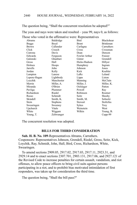The question being, "Shall the concurrent resolution be adopted?"

Those who voted in the affirmative were: Representatives

The yeas and nays were taken and resulted – yeas 99, nays 0, as follows:

| Abrams       | Baldridge  | Bird          | Blackshear      |
|--------------|------------|---------------|-----------------|
| <b>Boggs</b> | Boyd       | <b>Brent</b>  | <b>Brinkman</b> |
| <b>Brown</b> | Callender  | Carfagna      | Carruthers      |
| Click        | Creech     | Cross         | Crossman        |
| Cutrona      | Davis      | Dean          | Denson          |
| Edwards      | Ferguson   | Fowler Arthur | Fraizer         |
| Galonski     | Ghanbari   | Ginter        | Grendell        |
| Gross        | Hall       | Hicks-Hudson  | Hillyer         |
| Holmes       | Hoops      | Humphrey      | Ingram          |
| Jarrells     | John       | Johnson       | Jones           |
| Jordan       | Kelly      | Kick          | Koehler         |
| Lampton      | Lanese     | LaRe          | Leland          |
| Lepore-Hagan | Lightbody  | Lipps         | Liston          |
| Loychik      | Manchester | Manning       | McClain         |
| Merrin       | Miller, A. | Miller, J.    | Miller, K.      |
| Miranda      | O'Brien    | Oelslager     | Patton          |
| Pavliga      | Plummer    | Powell        | Ray             |
| Richardson   | Riedel     | Robinson      | Roemer          |
| Russo        | Schmidt    | Seitz         | Sheehy          |
| Skindell     | Smith, K.  | Smith, M.     | Sobecki         |
| Stein        | Stephens   | Stewart       | Stoltzfus       |
| Swearingen   | Sweeney    | Sykes         | Troy            |
| Upchurch     | Vitale     | Weinstein     | West            |
| White        | Wiggam     | Wilkin        | Young, B.       |
| Young, T.    | Zeltwanger |               | Cupp-99         |

The concurrent resolution was adopted.

#### **BILLS FOR THIRD CONSIDERATION**

**Sub. H. B. No. 109**-Representatives Abrams, Carruthers. Cosponsors: Representatives Johnson, Grendell, Riedel, Gross, Seitz, Kick, Loychik, Ray, Schmidt, John, Hall, Bird, Cross, Richardson, White, Swearingen.

To amend sections 2909.05, 2917.02, 2917.03, 2917.11, 2923.31, and 2929.14 and to enact sections 2307.701, 2903.131, 2917.06, and 2927.121 of the Revised Code to increase penalties for certain assault, vandalism, and riot offenses, to allow peace officers to bring civil suits against persons participating in a riot, and to prohibit bias motivated intimidation of first responders, was taken up for consideration the third time.

The question being, "Shall the bill pass?"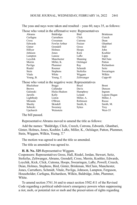The yeas and nays were taken and resulted – yeas 60, nays 35, as follows: Those who voted in the affirmative were: Representatives

| Abrams                                                | Baldridge       | Bird       | <b>Brinkman</b> |
|-------------------------------------------------------|-----------------|------------|-----------------|
| Carfagna                                              | Carruthers      | Click      | Creech          |
| Cross                                                 | Crossman        | Cutrona    | Dean            |
| Edwards                                               | Fowler Arthur   | Fraizer    | Ghanbari        |
| Ginter                                                | Grendell        | Gross      | Hall            |
| Hillyer                                               | Holmes          | Hoops      | John            |
| Johnson                                               | Jones           | Kick       | Koehler         |
| Lampton                                               | Lanese          | LaRe       | Lipps           |
| Loychik                                               | Manchester      | Manning    | McClain         |
| Merrin                                                | Miller, K.      | Oelslager  | Patton          |
| Pavliga                                               | Plummer         | Ray        | Richardson      |
| Riedel                                                | Roemer          | Schmidt    | Seitz           |
| <b>Stein</b>                                          | <b>Stephens</b> | Stoltzfus  | Swearingen      |
| Vitale                                                | White           | Wiggam     | Wilkin          |
| Young, B.                                             | Young, T.       | Zeltwanger | $Cupp-60$       |
| Those who voted in the negative were: Representatives |                 |            |                 |
| <b>Blackshear</b>                                     | <b>Boggs</b>    | Boyd       | <b>Brent</b>    |
| <b>Brown</b>                                          | Callender       | Davis      | Denson          |
| Galonski                                              | Hicks-Hudson    | Humphrey   | Ingram          |
| Jarrells                                              | Kelly           | Leland     | Lepore-Hagan    |
| Lightbody                                             | Liston          | Miller, A. | Miller, J.      |
| Miranda                                               | O'Brien         | Robinson   | Russo           |
| Sheehy                                                | Skindell        | Smith, K.  | Smith, M.       |
| Sobecki                                               | Sweeney         | Sykes      | Troy            |
| Upchurch                                              | Weinstein       |            | West-35         |
|                                                       |                 |            |                 |

The bill passed.

Representative Abrams moved to amend the title as follows:

Add the names: "Baldridge, Click, Creech, Cutrona, Edwards, Ghanbari, Ginter, Holmes, Jones, Koehler, LaRe, Miller, K., Oelslager, Patton, Plummer, Stein, Wiggam, Wilkin, Young, T."

The motion was agreed to and the title so amended.

The title as amended was agreed to.

#### **H. B. No. 325**-Representative Wiggam.

Cosponsors: Representatives Gross, Hall, Riedel, Jordan, Stewart, Seitz, Stoltzfus, Zeltwanger, Abrams, Grendell, Cross, Merrin, Koehler, Edwards, Loychik, Kick, Click, Cutrona, Hoops, Swearingen, LaRe, Powell, Creech, Dean, Holmes, Stephens, Bird, Ginter, Brinkman, McClain, Manchester, Jones, Carruthers, Schmidt, Vitale, Pavliga, Johnson, Lampton, Ferguson, Householder, Carfagna, Richardson, Wilkin, Baldridge, John, Plummer, **White** 

To amend section 3761.16 and to enact section 5502.411 of the Revised Code regarding a political subdivision's emergency powers when suppressing a riot, mob, or potential riot or mob and the preservation of rights regarding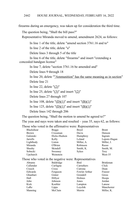firearms during an emergency, was taken up for consideration the third time.

The question being, "Shall the bill pass?"

Representative Miranda moved to amend, amendment 2624, as follows:

In line 1 of the title, delete "amend section 3761.16 and to"

In line 2 of the title, delete "a"

Delete lines 3 through 5 of the title

In line 6 of the title, delete "firearms" and insert "extending a concealed handgun license"

In line 7, delete "section 3761.16 be amended and"

Delete lines 9 through 18

In line 20, delete ""Ammunition" has the same meaning as in section"

Delete line 21

In line 22, delete  $"(2)"$ 

In line 25, delete " $(3)$ " and insert " $(2)$ "

Delete lines 27 through 107

In line 108, delete " $(D)(1)$ " and insert " $(B)(1)$ "

In line 125, delete " $(D)(1)$ " and insert " $(B)(1)$ "

Delete lines 142 through 206

The question being, "Shall the motion to amend be agreed to?"

The yeas and nays were taken and resulted – yeas 35, nays 62, as follows:

Those who voted in the affirmative were: Representatives

| <b>Blackshear</b> | <b>Boggs</b>                                          | Boyd          | <b>Brent</b>    |
|-------------------|-------------------------------------------------------|---------------|-----------------|
| <b>Brown</b>      | Crossman                                              | Davis         | Denson          |
| Galonski          | Hicks-Hudson                                          | Humphrey      | Ingram          |
| Jarrells          | Kelly                                                 | Leland        | Lepore-Hagan    |
| Lightbody         | Liston                                                | Miller, A.    | Miller, J.      |
| Miranda           | O'Brien                                               | Robinson      | Russo           |
| Sheehy            | Skindell                                              | Smith, K.     | Smith, M.       |
| Sobecki           | Sweeney                                               | Sykes         | Troy            |
| Upchurch          | Weinstein                                             |               | West-35         |
|                   | Those who voted in the negative were: Representatives |               |                 |
| <b>A</b> brams    | Baldridge                                             | <b>Bird</b>   | <b>Brinkman</b> |
| Callender         | Carfagna                                              | Carruthers    | Click           |
| Creech            | Cross                                                 | Cutrona       | Dean            |
| Edwards           | Ferguson                                              | Fowler Arthur | Fraizer         |
| Ghanbari          | Ginter                                                | Grendell      | Gross           |
| Hall              | Hillyer                                               | Holmes        | Hoops           |
| John              | Johnson                                               | Jones         | Jordan          |
| Kick              | Koehler                                               | Lampton       | Lanese          |
| LaRe              | Lipps                                                 | Loychik       | Manchester      |
| Manning           | McClain                                               | Merrin        | Miller, K.      |
|                   |                                                       |               |                 |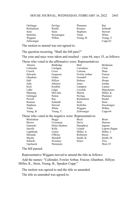| Oelslager  | Pavliga    | Plummer         | Ray       |
|------------|------------|-----------------|-----------|
| Richardson | Riedel     | Roemer          | Schmidt   |
| Seitz      | Stein      | <b>Stephens</b> | Stewart   |
| Stoltzfus  | Swearingen | Vitale          | White     |
| Wiggam     | Wilkin     | Young, B.       | Young, T. |
| Zeltwanger |            |                 | $Cupp-62$ |

The motion to amend was not agreed to.

The question recurring, "Shall the bill pass?"

The yeas and nays were taken and resulted – yeas 64, nays 35, as follows:

Those who voted in the affirmative were: Representatives

| Abrams                                                | Baldridge    | Bird          | <b>Brinkman</b> |  |  |
|-------------------------------------------------------|--------------|---------------|-----------------|--|--|
| Callender                                             | Carfagna     | Carruthers    | Click           |  |  |
| Creech                                                | Cross        | Cutrona       | Dean            |  |  |
| Edwards                                               | Ferguson     | Fowler Arthur | Fraizer         |  |  |
| Ghanbari                                              | Ginter       | Grendell      | Gross           |  |  |
| Hall                                                  | Hillyer      | Holmes        | Hoops           |  |  |
| John                                                  | Johnson      | Jones         | Jordan          |  |  |
| Kick                                                  | Koehler      | Lampton       | Lanese          |  |  |
| LaRe                                                  | Lipps        | Loychik       | Manchester      |  |  |
| Manning                                               | McClain      | Merrin        | Miller, K.      |  |  |
| Oelslager                                             | Patton       | Pavliga       | Plummer         |  |  |
| Powell                                                | Ray          | Richardson    | Riedel          |  |  |
| Roemer                                                | Schmidt      | Seitz         | Stein           |  |  |
| <b>Stephens</b>                                       | Stewart      | Stoltzfus     | Swearingen      |  |  |
| Vitale                                                | White        | Wiggam        | Wilkin          |  |  |
| Young, B.                                             | Young, T.    | Zeltwanger    | $Cupp-64$       |  |  |
| Those who voted in the negative were: Representatives |              |               |                 |  |  |
| <b>Blackshear</b>                                     | <b>Boggs</b> | Boyd          | <b>Brent</b>    |  |  |
| Brown                                                 | Crossman     | Davis         | Denson          |  |  |

| <b>Brown</b> | Crossman     | Davis        | Denson       |
|--------------|--------------|--------------|--------------|
| Galonski     | Hicks-Hudson | Humphrey     | Ingram       |
| Jarrells     | Kelly        | Leland       | Lepore-Hagan |
| Lightbody    | Liston       | Miller, A.   | Miller, J.   |
| Miranda      | O'Brien      | Robinson     | Russo        |
| Sheehy       | Skindell     | Smith, K.    | Smith, M.    |
| Sobecki      | Sweeney      | <b>Sykes</b> | <b>Troy</b>  |
| Upchurch     | Weinstein    |              | West-35      |
|              |              |              |              |

The bill passed.

Representative Wiggam moved to amend the title as follows:

Add the names: "Callender, Fowler Arthur, Fraizer, Ghanbari, Hillyer, Miller, K., Stein, Young, B., Speaker Cupp."

The motion was agreed to and the title so amended.

The title as amended was agreed to.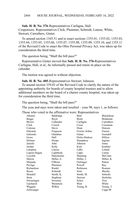**Sub. H. B. No. 376**-Representatives Carfagna, Hall.

Cosponsors: Representatives Click, Plummer, Schmidt, Lanese, White, Stewart, Carruthers, Ginter.

To amend section 1345.51 and to enact sections 1355.01, 1355.02, 1355.03, 1355.04, 1355.05, 1355.06, 1355.07, 1355.08, 1355.09, 1355.10, and 1355.11 of the Revised Code to enact the Ohio Personal Privacy Act, was taken up for consideration the third time.

The question being, "Shall the bill pass?"

Representative Ginter moved that **Sub. H. B. No. 376-**Representatives Carfagna, Hall, et al., be informally passed and retain its place on the calendar.

The motion was agreed to without objection.

**Sub. H. B. No. 405**-Representatives Stewart, Johnson.

To amend section 339.02 of the Revised Code to clarify the nature of the appointing authority for boards of county hospital trustees and to allow additional members on the board of a charter county hospital, was taken up for consideration the third time.

The question being, "Shall the bill pass?"

The yeas and nays were taken and resulted – yeas 98, nays 1, as follows:

Those who voted in the affirmative were: Representatives

| Abrams       | Baldridge  | Bird          | <b>Blackshear</b> |
|--------------|------------|---------------|-------------------|
| Boggs        | Boyd       | <b>Brent</b>  | <b>Brinkman</b>   |
| <b>Brown</b> | Callender  | Carfagna      | Carruthers        |
| Click        | Creech     | Cross         | Crossman          |
| Cutrona      | Davis      | Dean          | Denson            |
| Edwards      | Ferguson   | Fowler Arthur | Fraizer           |
| Galonski     | Ghanbari   | Ginter        | Grendell          |
| Gross        | Hall       | Hicks-Hudson  | Hillyer           |
| Holmes       | Hoops      | Humphrey      | Ingram            |
| Jarrells     | John       | Johnson       | Jones             |
| Jordan       | Kelly      | Kick          | Koehler           |
| Lampton      | Lanese     | LaRe          | Leland            |
| Lepore-Hagan | Lightbody  | Lipps         | Liston            |
| Loychik      | Manchester | Manning       | McClain           |
| Merrin       | Miller, A. | Miller, J.    | Miller, K.        |
| Miranda      | O'Brien    | Oelslager     | Patton            |
| Pavliga      | Plummer    | Powell        | Ray               |
| Richardson   | Riedel     | Robinson      | Roemer            |
| Russo        | Schmidt    | Seitz         | Sheehy            |
| Skindell     | Smith, K.  | Smith, M.     | Sobecki           |
| Stein        | Stephens   | Stewart       | Stoltzfus         |
| Swearingen   | Sweeney    | Sykes         | Troy              |
| Upchurch     | Weinstein  | West          | White             |
| Wiggam       | Wilkin     | Young, B.     | Young, T.         |
| Zeltwanger   |            |               | Cupp-98           |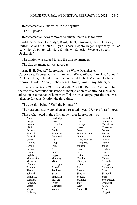Representative Vitale voted in the negative-1.

The bill passed.

Representative Stewart moved to amend the title as follows:

Add the names: "Baldridge, Boyd, Brent, Crossman, Davis, Denson, Fraizer, Galonski, Ginter, Hillyer, Lanese, Lepore-Hagan, Lightbody, Miller, A., Miller, J., Patton, Skindell, Smith, M., Sobecki, Sweeney, Sykes, Upchurch."

The motion was agreed to and the title so amended.

The title as amended was agreed to.

**Am. H. B. No. 427**-Representatives White, Manchester. Cosponsors: Representatives Plummer, LaRe, Carfagna, Loychik, Young, T., Click, Koehler, Schmidt, John, Lanese, Riedel, Bird, Manning, Holmes, Johnson, Fowler Arthur, Richardson, Cutrona, Gross, Troy, Miller, A.

To amend sections 2905.32 and 2907.21 of the Revised Code to prohibit the use of a controlled substance or manipulation of controlled substance addiction as a method of human trafficking or to compel prostitution, was taken up for consideration the third time.

The question being, "Shall the bill pass?"

The yeas and nays were taken and resulted – yeas 98, nays 0, as follows:

Those who voted in the affirmative were: Representatives

| Abrams          | Baldridge  | Bird          | Blackshear |
|-----------------|------------|---------------|------------|
| <b>Boggs</b>    | Boyd       | <b>Brent</b>  | Brinkman   |
| <b>Brown</b>    | Callender  | Carfagna      | Carruthers |
| Click           | Creech     | Cross         | Crossman   |
| Cutrona         | Davis      | Dean          | Denson     |
| Edwards         | Ferguson   | Fowler Arthur | Fraizer    |
| Galonski        | Ghanbari   | Ginter        | Grendell   |
| Gross           | Hall       | Hicks-Hudson  | Hillyer    |
| Holmes          | Hoops      | Humphrey      | Ingram     |
| Jarrells        | John       | Johnson       | Jones      |
| Jordan          | Kelly      | Kick          | Koehler    |
| Lampton         | Lanese     | LaRe          | Leland     |
| Lightbody       | Lipps      | Liston        | Loychik    |
| Manchester      | Manning    | McClain       | Merrin     |
| Miller, A.      | Miller, J. | Miller, K.    | Miranda    |
| O'Brien         | Oelslager  | Patton        | Pavliga    |
| Plummer         | Powell     | Ray           | Richardson |
| Riedel          | Robinson   | Roemer        | Russo      |
| Schmidt         | Seitz      | Sheehy        | Skindell   |
| Smith, K.       | Smith, M.  | Sobecki       | Stein      |
| <b>Stephens</b> | Stewart    | Stoltzfus     | Swearingen |
| Sweeney         | Sykes      | Troy          | Upchurch   |
| Vitale          | Weinstein  | West          | White      |
| Wiggam          | Wilkin     | Young, B.     | Young, T.  |
| Zeltwanger      |            |               | Cupp-98    |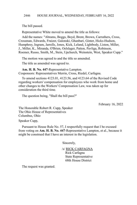The bill passed.

Representative White moved to amend the title as follows:

Add the names: "Abrams, Boggs, Boyd, Brent, Brown, Carruthers, Cross, Crossman, Edwards, Fraizer, Galonski, Ghanbari, Ginter, Hicks-Hudson, Humphrey, Ingram, Jarrells, Jones, Kick, Leland, Lightbody, Liston, Miller, J., Miller, K., Miranda, O'Brien, Oelslager, Patton, Pavliga, Robinson, Roemer, Russo, Smith, M., Stein, Upchurch, Weinstein, West, Speaker Cupp."

The motion was agreed to and the title so amended.

The title as amended was agreed to.

**Am. H. B. No. 447**-Representative Lampton.

Cosponsors: Representatives Merrin, Cross, Riedel, Carfagna.

To amend sections 4123.01, 4123.56, and 4123.64 of the Revised Code regarding workers' compensation for employees who work from home and other changes to the Workers' Compensation Law, was taken up for consideration the third time.

The question being, "Shall the bill pass?"

February 16, 2022

The Honorable Robert R. Cupp, Speaker The Ohio House of Representatives Columbus, Ohio

Speaker Cupp,

Pursuant to House Rule No. 57, I respectfully request that I be excused from voting on **Am. H. B. No. 447**-Representative Lampton, et al., because it might be construed that I have an interest in the legislation.

Sincerely,

/s/ RICK CARFAGNA Rick Carfagna State Representative 68th House District

The request was granted.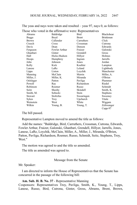|              | Those who voted in the affirmative were: Representatives |              |                   |
|--------------|----------------------------------------------------------|--------------|-------------------|
| Abrams       | Baldridge                                                | <b>Bird</b>  | <b>Blackshear</b> |
| <b>Boggs</b> | Boyd                                                     | <b>Brent</b> | <b>Brinkman</b>   |
| <b>Brown</b> | Callender                                                | Carruthers   | Click             |
| Creech       | Cross                                                    | Crossman     | Cutrona           |
| Davis        | Dean                                                     | Denson       | Edwards           |
| Ferguson     | Fowler Arthur                                            | Fraizer      | Galonski          |
| Ghanbari     | Ginter                                                   | Grendell     | Gross             |
| Hall         | Hicks-Hudson                                             | Hillyer      | Holmes            |
| Hoops        | Humphrey                                                 | Ingram       | Jarrells          |
| John         | Johnson                                                  | Jones        | Jordan            |
| Kelly        | Kick                                                     | Koehler      | Lampton           |
| Lanese       | LaRe                                                     | Leland       | Lightbody         |
| Lipps        | Liston                                                   | Loychik      | Manchester        |
| Manning      | McClain                                                  | Merrin       | Miller, A.        |
| Miller, J.   | Miller, K.                                               | Miranda      | O'Brien           |
| Oelslager    | Patton                                                   | Pavliga      | Plummer           |
| Powell       | Ray                                                      | Richardson   | Riedel            |
| Robinson     | Roemer                                                   | Russo        | Schmidt           |
| <b>Seitz</b> | Sheehy                                                   | Skindell     | Smith, K.         |
| Smith, M.    | Sobecki                                                  | Stein        | Stephens          |
| Stewart      | Stoltzfus                                                | Swearingen   | Sweeney           |
| Sykes        | Troy                                                     | Upchurch     | Vitale            |
| Weinstein    | West                                                     | White        | Wiggam            |
| Wilkin       | Young, B.                                                | Young, T.    | Zeltwanger        |
|              |                                                          |              | Cupp-97           |

The yeas and nays were taken and resulted – yeas 97, nays 0, as follows:

The bill passed.

Representative Lampton moved to amend the title as follows:

Add the names: "Baldridge, Bird, Carruthers, Crossman, Cutrona, Edwards, Fowler Arthur, Fraizer, Galonski, Ghanbari, Grendell, Hillyer, Jarrells, Jones, Lanese, LaRe, Loychik, McClain, Miller, A., Miller, J., Miranda, O'Brien, Patton, Pavliga, Richardson, Roemer, Russo, Schmidt, Seitz, Stephens, Troy, West."

The motion was agreed to and the title so amended.

The title as amended was agreed to.

Message from the Senate

Mr. Speaker:

I am directed to inform the House of Representatives that the Senate has concurred in the passage of the following bill:

**Am. Sub. H. B. No. 37** - Representative Manning

Cosponsors: Representatives Troy, Pavliga, Smith, K., Young, T., Lipps, Lanese, Russo, Bird, Cutrona, Ginter, Gross, Abrams, Brent, Brown,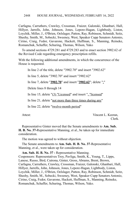Carfagna, Carruthers, Crawley, Crossman, Fraizer, Galonski, Ghanbari, Hall, Hillyer, Jarrells, John, Johnson, Jones, Lepore-Hagan, Lightbody, Liston, Loychik, Miller, J., O'Brien, Oelslager, Patton, Ray, Robinson, Schmidt, Seitz, Sheehy, Smith, M., Sobecki, Sweeney, West, Speaker Cupp Senators Antonio, Cirino, Craig, Fedor, Gavarone, Hackett, Huffman, S., Manning, Reineke, Romanchuk, Schaffer, Schuring, Thomas, Wilson, Yuko

To amend sections 4729.281 and 4729.283 and to enact section 3902.62 of the Revised Code regarding emergency prescription refills.

With the following additional amendments, in which the concurrence of the House is requested.

In line 2 of the title, delete "3902.70" and insert "3902.62"

In line 5, delete "3902.70" and insert "3902.62"

In line 7, delete "**3902.70**" and insert "**3902.62**"; delete ":"

Delete lines 8 through 14

In line 15, delete "(3) "Licensed" and insert ", "licensed"

In line 21, delete "not more than three times during any"

In line 22, delete "twelve-month period"

Attest: Vincent L. Keeran, Clerk.

Representative Ginter moved that the Senate amendments to **Am. Sub. H. B. No. 37-**Representative Manning, et al., be taken up for immediate consideration.

The motion was agreed to without objection.

The Senate amendments to **Am. Sub. H. B. No. 37**-Representative Manning, et al., were taken up for consideration.

Am. Sub. H. B. No. 37 - Representative Manning. Cosponsors: Representatives Troy, Pavliga, Smith, K., Young, T., Lipps, Lanese, Russo, Bird, Cutrona, Ginter, Gross, Abrams, Brent, Brown, Carfagna, Carruthers, Crawley, Crossman, Fraizer, Galonski, Ghanbari, Hall, Hillyer, Jarrells, John, Johnson, Jones, Lepore-Hagan, Lightbody, Liston, Loychik, Miller, J., O'Brien, Oelslager, Patton, Ray, Robinson, Schmidt, Seitz, Sheehy, Smith, M., Sobecki, Sweeney, West, Speaker Cupp Senators Antonio, Cirino, Craig, Fedor, Gavarone, Hackett, Huffman, S., Manning, Reineke, Romanchuk, Schaffer, Schuring, Thomas, Wilson, Yuko.